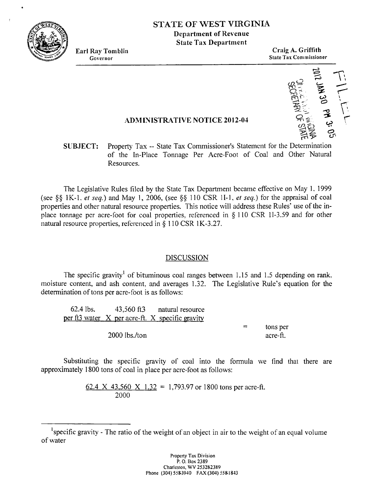

# **STATE OF WEST VIRGINIA**

**Department of Revenue State Tax Department** 

**Earl Ray Tonlblin Craig A. Griffith**   $\frac{1}{2}$ **State Tax Commissioner** 



#### **,4DMINISTR4TIVE NOTICE 2012-01**

## **SUBJECT:** Property Tax -- State Tax Commissioner's Statement for the Determination of the In-Place Tonnage Per Acre-Foot of Coal and Other Natural Resources.

The Legislative Rules filed by the State Tax Department became effective on May 1, 1999 (see \$\$ 1 K-1. *et seq.)* and May 1, 2006, (see **fjg** 1 10 CSR 11-1, *er* seq.) for the appraisal of coal properties and other natural resource properties. This notice will address these Rules' use of the inplace tonnage per acre-foot for coal properties, referenced in **fj** 110 CSR 11-3.59 and for other natural resource properties, referenced in  $\S$  110 CSR 1K-3.27.

#### DISCUSSION

The specific gravity<sup>1</sup> of bituminous coal ranges between 1.15 and 1.5 depending on rank. moisture content, and ash content, and averages 1.32. The Legislative Rule's equation for the determination of tons per acre-foot is as follows:

62.4 lbs. 43,560 fi3 natural resource per <u>ft3 water  $X$  per acre-ft.  $X$  specific gravity</u>  $=$  tons per 2000 lbs./ton acre-ft.

Substituting the specific gravity of coal into the formula we find that there are approximately 1800 tons of coal in place per acre-foot as follows:

> 62.4 X 43.560 X 1.32 = 1,793.97 or 1800 tons per acre-ft. 2000

 $\frac{62.4 \times 43,500 \times 1.52}{2000}$  - 1,795.97 or 1800 tons per acte-it.<br>2000 of water